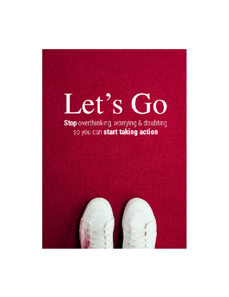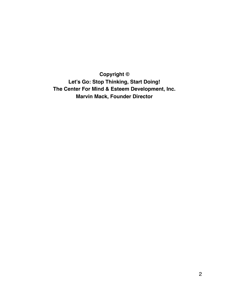**Copyright © Let's Go: Stop Thinking, Start Doing! The Center For Mind & Esteem Development, Inc. Marvin Mack, Founder Director**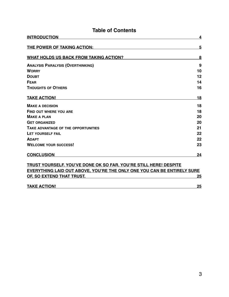| <b>Table of Contents</b>                                                |    |
|-------------------------------------------------------------------------|----|
| <b>INTRODUCTION</b>                                                     | 4  |
| THE POWER OF TAKING ACTION:                                             | 5  |
| WHAT HOLDS US BACK FROM TAKING ACTION?                                  | 8  |
| <b>ANALYSIS PARALYSIS (OVERTHINKING)</b>                                | 9  |
| <b>WORRY</b>                                                            | 10 |
| <b>DOUBT</b>                                                            | 12 |
| FFAR                                                                    | 14 |
| <b>THOUGHTS OF OTHERS</b>                                               | 16 |
| <b>TAKE ACTION!</b>                                                     | 18 |
| <b>MAKE A DECISION</b>                                                  | 18 |
| <b>FIND OUT WHERE YOU ARE</b>                                           | 18 |
| <b>MAKE A PLAN</b>                                                      | 20 |
| <b>GET ORGANIZED</b>                                                    | 20 |
| TAKE ADVANTAGE OF THE OPPORTUNITIES                                     | 21 |
| LET YOURSELF FAIL                                                       | 22 |
| <b>ADAPT</b>                                                            | 22 |
| <b>WELCOME YOUR SUCCESS!</b>                                            | 23 |
| <b>CONCLUSION</b>                                                       | 24 |
| TRUST YOURSELF. YOU'VE DONE OK SO FAR. YOU'RE STILL HERE! DESPITE       |    |
| EVERYTHING LAID OUT ABOVE, YOU'RE THE ONLY ONE YOU CAN BE ENTIRELY SURE |    |
| OF, SO EXTEND THAT TRUST.                                               | 25 |

| <b>TAKE ACTION!</b> |  |
|---------------------|--|
|                     |  |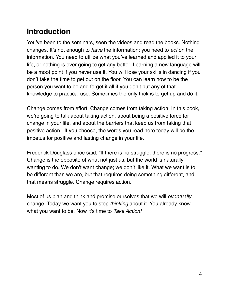# <span id="page-3-0"></span>**Introduction**

You've been to the seminars, seen the videos and read the books. Nothing changes. It's not enough to *have* the information; you need to *act* on the information. You need to utilize what you've learned and applied it to your life, or nothing is ever going to get any better. Learning a new language will be a moot point if you never use it. You will lose your skills in dancing if you don't take the time to get out on the floor. You can learn how to be the person you want to be and forget it all if you don't put any of that knowledge to practical use. Sometimes the only trick is to get up and do it.

Change comes from effort. Change comes from taking action. In this book, we're going to talk about taking action, about being a positive force for change in your life, and about the barriers that keep us from taking that positive action. If you choose, the words you read here today will be the impetus for positive and lasting change in your life.

Frederick Douglass once said, "If there is no struggle, there is no progress." Change is the opposite of what not just us, but the world is naturally wanting to do. We don't want change; we don't like it. What we want is to be different than we are, but that requires doing something different, and that means struggle. Change requires action.

Most of us plan and think and promise ourselves that we will *eventually* change. Today we want you to stop *thinking* about it. You already know what you want to be. Now it's time to *Take Action!*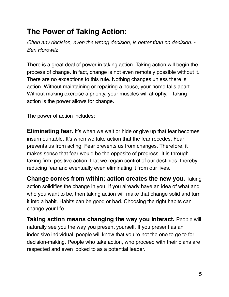# <span id="page-4-0"></span>**The Power of Taking Action:**

*Often any decision, even the wrong decision, is better than no decision. - Ben Horowitz*

There is a great deal of power in taking action. Taking action will begin the process of change. In fact, change is not even remotely possible without it. There are no exceptions to this rule. Nothing changes unless there is action. Without maintaining or repairing a house, your home falls apart. Without making exercise a priority, your muscles will atrophy. Taking action is the power allows for change.

The power of action includes:

**Eliminating fear.** It's when we wait or hide or give up that fear becomes insurmountable. It's when we take action that the fear recedes. Fear prevents us from acting. Fear prevents us from changes. Therefore, it makes sense that fear would be the opposite of progress. It is through taking firm, positive action, that we regain control of our destinies, thereby reducing fear and eventually even eliminating it from our lives.

**Change comes from within; action creates the new you.** Taking action solidifies the change in you. If you already have an idea of what and who you want to be, then taking action will make that change solid and turn it into a habit. Habits can be good or bad. Choosing the right habits can change your life.

**Taking action means changing the way you interact.** People will naturally see you the way you present yourself. If you present as an indecisive individual, people will know that you're not the one to go to for decision-making. People who take action, who proceed with their plans are respected and even looked to as a potential leader.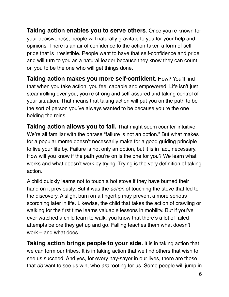**Taking action enables you to serve others**. Once you're known for your decisiveness, people will naturally gravitate to you for your help and opinions. There is an air of confidence to the action-taker, a form of selfpride that is irresistible. People want to have that self-confidence and pride and will turn to you as a natural leader because they know they can count on you to be the one who will get things done.

**Taking action makes you more self-confident.** How? You'll find that when you take action, you feel capable and empowered. Life isn't just steamrolling over you, you're strong and self-assured and taking control of your situation. That means that taking action will put you on the path to be the sort of person you've always wanted to be because you're the one holding the reins.

**Taking action allows you to fail.** That might seem counter-intuitive. We're all familiar with the phrase "failure is not an option." But what makes for a popular meme doesn't necessarily make for a good guiding principle to live your life by. Failure is not only an option, but it is in fact, necessary. How will you know if the path you're on is the one for you? We learn what works and what doesn't work by trying. Trying is the very definition of taking action.

A child quickly learns not to touch a hot stove if they have burned their hand on it previously. But it was the *action* of touching the stove that led to the discovery. A slight burn on a fingertip may prevent a more serious scorching later in life. Likewise, the child that takes the action of crawling or walking for the first time learns valuable lessons in mobility. But if you've ever watched a child learn to walk, you know that there's a lot of failed attempts before they get up and go. Falling teaches them what doesn't work – and what does.

**Taking action brings people to your side.** It is in taking action that we can form our tribes. It is in taking action that we find others that wish to see us succeed. And yes, for every nay-sayer in our lives, there are those that *do* want to see us win, who *are* rooting for us. Some people will jump in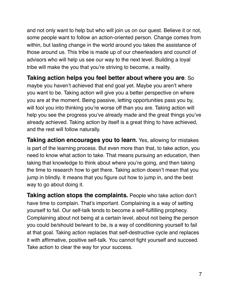and not only want to help but who will join us on our quest. Believe it or not, some people want to follow an action-oriented person. Change comes from within, but lasting change in the world around you takes the assistance of those around us. This tribe is made up of our cheerleaders and council of advisors who will help us see our way to the next level. Building a loyal tribe will make the you that you're striving to become, a reality.

**Taking action helps you feel better about where you are**. So maybe you haven't achieved that end goal yet. Maybe you aren't where you want to be. Taking action will give you a better perspective on where you are at the moment. Being passive, letting opportunities pass you by, will fool you into thinking you're worse off than you are. Taking action will help you see the progress you've already made and the great things you've already achieved. Taking action by itself is a great thing to have achieved, and the rest will follow naturally.

**Taking action encourages you to learn.** Yes, allowing for mistakes is part of the learning process. But even more than that, to take action, you need to know what action to take. That means pursuing an education, then taking that knowledge to think about where you're going, and then taking the time to research how to get there. Taking action doesn't mean that you jump in blindly. It means that you figure out how to jump in, and the best way to go about doing it.

**Taking action stops the complaints.** People who take action don't have time to complain. That's important. Complaining is a way of setting yourself to fail. Our self-talk tends to become a self-fulfilling prophecy. Complaining about not being at a certain level, about not being the person you could be/should be/want to be, is a way of conditioning yourself to fail at that goal. Taking action replaces that self-destructive cycle and replaces it with affirmative, positive self-talk. You cannot fight yourself and succeed. Take action to clear the way for your success.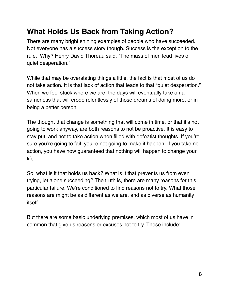# <span id="page-7-0"></span>**What Holds Us Back from Taking Action?**

There are many bright shining examples of people who have succeeded. Not everyone has a success story though. Success is the exception to the rule. Why? Henry David Thoreau said, "The mass of men lead lives of quiet desperation."

While that may be overstating things a little, the fact is that most of us do not take action. It is that lack of action that leads to that "quiet desperation." When we feel stuck where we are, the days will eventually take on a sameness that will erode relentlessly of those dreams of doing more, or in being a better person.

The thought that change is something that will come in time, or that it's not going to work anyway, are both reasons to not be proactive. It is easy to stay put, and not to take action when filled with defeatist thoughts. If you're sure you're going to fail, you're not going to make it happen. If you take no action, you have now guaranteed that nothing will happen to change your life.

So, what is it that holds us back? What is it that prevents us from even trying, let alone succeeding? The truth is, there are many reasons for this particular failure. We're conditioned to find reasons not to try. What those reasons are might be as different as we are, and as diverse as humanity itself.

But there are some basic underlying premises, which most of us have in common that give us reasons or excuses not to try. These include: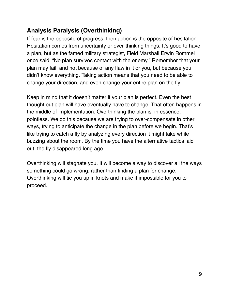### <span id="page-8-0"></span>**Analysis Paralysis (Overthinking)**

If fear is the opposite of progress, then action is the opposite of hesitation. Hesitation comes from uncertainty or over-thinking things. It's good to have a plan, but as the famed military strategist, Field Marshall Erwin Rommel once said, "No plan survives contact with the enemy." Remember that your plan may fail, and not because of any flaw in it or you, but because you didn't know everything. Taking action means that you need to be able to change your direction, and even change your entire plan on the fly.

Keep in mind that it doesn't matter if your plan is perfect. Even the best thought out plan will have eventually have to change. That often happens in the middle of implementation. Overthinking the plan is, in essence, pointless. We do this because we are trying to over-compensate in other ways, trying to anticipate the change in the plan before we begin. That's like trying to catch a fly by analyzing every direction it might take while buzzing about the room. By the time you have the alternative tactics laid out, the fly disappeared long ago.

Overthinking will stagnate you, It will become a way to discover all the ways something could go wrong, rather than finding a plan for change. Overthinking will tie you up in knots and make it impossible for you to proceed.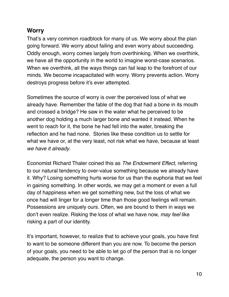#### <span id="page-9-0"></span>**Worry**

That's a very common roadblock for many of us. We worry about the plan going forward. We worry about failing and even worry about succeeding. Oddly enough, worry comes largely from overthinking. When we overthink, we have all the opportunity in the world to imagine worst-case scenarios. When we overthink, all the ways things can fail leap to the forefront of our minds. We become incapacitated with worry. Worry prevents action. Worry destroys progress before it's ever attempted.

Sometimes the source of worry is over the perceived loss of what we already have. Remember the fable of the dog that had a bone in its mouth and crossed a bridge? He saw in the water what he perceived to be another dog holding a much larger bone and wanted it instead. When he went to reach for it, the bone he had fell into the water, breaking the reflection and he had none. Stories like these condition us to settle for what we have or, at the very least, not risk what we have, because at least *we have it already*.

Economist Richard Thaler coined this as *The Endowment Effect*, referring to our natural tendency to over-value something because we already have it. Why? Losing something hurts worse for us than the euphoria that we feel in gaining something. In other words, we may get a moment or even a full day of happiness when we get something new, but the loss of what we once had will linger for a longer time than those good feelings will remain. Possessions are uniquely ours. Often, we are bound to them in ways we don't even realize. Risking the loss of what we have now, *may feel* like risking a part of our identity.

It's important, however, to realize that to achieve your goals, you have first to want to be someone different than you are now. To become the person of your goals, you need to be able to let go of the person that is no longer adequate, the person you want to change.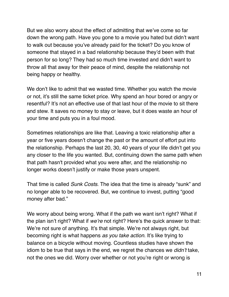But we also worry about the effect of admitting that we've come so far down the wrong path. Have you gone to a movie you hated but didn't want to walk out because you've already paid for the ticket? Do you know of someone that stayed in a bad relationship because they'd been with that person for so long? They had so much time invested and didn't want to throw all that away for their peace of mind, despite the relationship not being happy or healthy.

We don't like to admit that we wasted time. Whether you watch the movie or not, it's still the same ticket price. Why spend an hour bored or angry or resentful? It's not an effective use of that last hour of the movie to sit there and stew. It saves no money to stay or leave, but it does waste an hour of your time and puts you in a foul mood.

Sometimes relationships are like that. Leaving a toxic relationship after a year or five years doesn't change the past or the amount of effort put into the relationship. Perhaps the last 20, 30, 40 years of your life didn't get you any closer to the life you wanted. But, continuing down the same path when that path hasn't provided what you were after, and the relationship no longer works doesn't justify or make those years unspent.

That time is called *Sunk Costs*. The idea that the time is already "sunk" and no longer able to be recovered. But, we continue to invest, putting "good money after bad."

We worry about being wrong. What if the path we want isn't right? What if the plan isn't right? What if *we're* not right? Here's the quick answer to that: We're not sure of anything. It's that simple. We're not always right, but becoming right is what happens *as you take action*. It's like trying to balance on a bicycle without moving. Countless studies have shown the idiom to be true that says in the end, we regret the chances we *didn't* take, not the ones we did. Worry over whether or not you're right or wrong is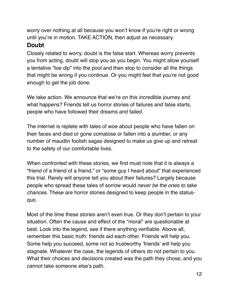worry over nothing at all because you won't know if you're right or wrong until you're in motion. TAKE ACTION, then adjust as necessary.

#### <span id="page-11-0"></span>**Doubt**

Closely related to worry, doubt is the false start. Whereas worry prevents you from acting, doubt will stop you as you begin. You might allow yourself a tentative "toe dip" into the pool and then stop to consider all the things that might be wrong if you continue. Or you might feel that you're not good enough to get the job done.

We take action. We announce that we're on this incredible journey and what happens? Friends tell us horror stories of failures and false starts, people who have followed their dreams and failed.

The internet is replete with tales of woe about people who have fallen on their faces and died or gone comatose or fallen into a slumber, or any number of maudlin foolish sagas designed to make us give up and retreat to the safety of our comfortable lives.

When confronted with these stories, we first must note that it is always a "friend of a friend of a friend," or "some guy I heard about" that experienced this trial. Rarely will anyone tell you about their failures? Largely because people who spread these tales of sorrow would *never be the ones to take chances.* These are horror stories designed to keep people in the statusquo.

Most of the time these stories aren't even true. Or they don't pertain to your situation. Often the cause and effect of the "moral" are questionable at best. Look into the legend, see if there anything verifiable. Above all, remember this basic truth: friends aid each other. Friends will help you. Some help you succeed, some not so trustworthy 'friends' will help you stagnate. Whatever the case, the legends of others do not pertain to you. What their choices and decisions created was the path they chose, and you cannot take someone else's path.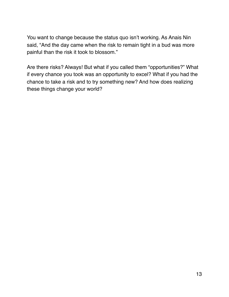You want to change because the status quo isn't working. As Anais Nin said, "And the day came when the risk to remain tight in a bud was more painful than the risk it took to blossom."

Are there risks? Always! But what if you called them "opportunities?" What if every chance you took was an opportunity to excel? What if you had the chance to take a risk and to try something new? And how does realizing these things change your world?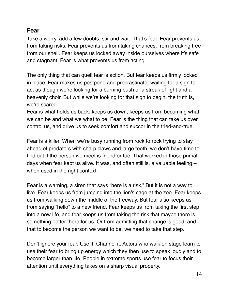#### <span id="page-13-0"></span>**Fear**

Take a worry, add a few doubts, stir and wait. That's fear. Fear prevents us from taking risks. Fear prevents us from taking chances, from breaking free from our shell. Fear keeps us locked away inside ourselves where it's safe and stagnant. Fear is what prevents us from acting.

The only thing that can quell fear is action. But fear keeps us firmly locked in place. Fear makes us postpone and procrastinate, waiting for a sign to act as though we're looking for a burning bush or a streak of light and a heavenly choir. But while we're looking for that sign to begin, the truth is, we're scared.

Fear is what holds us back, keeps us down, keeps us from becoming what we can be and what we what to be. Fear is the thing that can take us over, control us, and drive us to seek comfort and succor in the tried-and-true.

Fear is a killer. When we're busy running from rock to rock trying to stay ahead of predators with sharp claws and large teeth, we don't have time to find out if the person we meet is friend or foe. That worked in those primal days when fear kept us alive. It was, and often still is, a valuable feeling – when used in the right context.

Fear is a warning, a siren that says "here is a risk." But it is not a way to live. Fear keeps us from jumping into the lion's cage at the zoo. Fear keeps us from walking down the middle of the freeway. But fear also keeps us from saying "hello" to a new friend. Fear keeps us from taking the first step into a new life, and fear keeps us from taking the risk that maybe there is something better there for us. Or from admitting that change is good, and that to become the person we want to be, we need to take that step.

Don't ignore your fear. Use it. Channel it. Actors who walk on stage learn to use their fear to bring up energy which they then use to speak loudly and to become larger than life. People in extreme sports use fear to focus their attention until everything takes on a sharp visual property.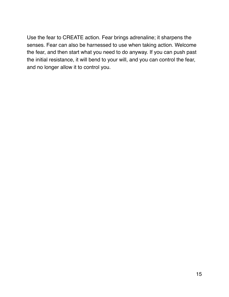Use the fear to CREATE action. Fear brings adrenaline; it sharpens the senses. Fear can also be harnessed to use when taking action. Welcome the fear, and then start what you need to do anyway. If you can push past the initial resistance, it will bend to your will, and you can control the fear, and no longer allow it to control you.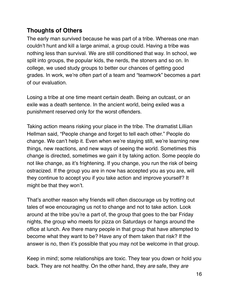### <span id="page-15-0"></span>**Thoughts of Others**

The early man survived because he was part of a tribe. Whereas one man couldn't hunt and kill a large animal, a group could. Having a tribe was nothing less than survival. We are still conditioned that way. In school, we split into groups, the popular kids, the nerds, the stoners and so on. In college, we used study groups to better our chances of getting good grades. In work, we're often part of a team and "teamwork" becomes a part of our evaluation.

Losing a tribe at one time meant certain death. Being an outcast, or an exile was a death sentence. In the ancient world, being exiled was a punishment reserved only for the worst offenders.

Taking action means risking your place in the tribe. The dramatist Lillian Hellman said, "People change and forget to tell each other." People do change. We can't help it. Even when we're staying still, we're learning new things, new reactions, and new ways of seeing the world. Sometimes this change is directed, sometimes we gain it by taking action. Some people do not like change, as it's frightening. If you change, you run the risk of being ostracized. If the group you are in now has accepted you as you are, will they continue to accept you if you take action and improve yourself? It might be that they won't.

That's another reason why friends will often discourage us by trotting out tales of woe encouraging us not to change and not to take action. Look around at the tribe you're a part of, the group that goes to the bar Friday nights, the group who meets for pizza on Saturdays or hangs around the office at lunch. Are there many people in that group that have attempted to become what they want to be? Have any of them taken that risk? If the answer is no, then it's possible that you may not be welcome in that group.

Keep in mind; some relationships are toxic. They tear you down or hold you back. They are not healthy. On the other hand, they *are* safe, they *are*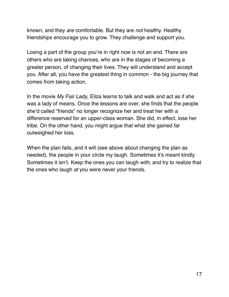known, and they *are* comfortable. But they are *not* healthy. Healthy friendships encourage you to grow. They challenge and support you.

Losing a part of the group you're in right now is not an end. There are others who are taking chances, who are in the stages of becoming a greater person, of changing their lives. They will understand and accept you. After all, you have the greatest thing in common - the big journey that comes from taking action.

In the movie *My Fair Lady*, Eliza learns to talk and walk and act as if she was a lady of means. Once the lessons are over, she finds that the people she'd called "friends" no longer recognize her and treat her with a difference reserved for an upper-class woman. She did, in effect, lose her tribe. On the other hand, you might argue that what she gained far outweighed her loss.

When the plan fails, and it will (see above about changing the plan as needed), the people in your circle my laugh. Sometimes it's meant kindly. Sometimes it isn't. Keep the ones you can laugh *with,* and try to realize that the ones who laugh *at* you were never your friends.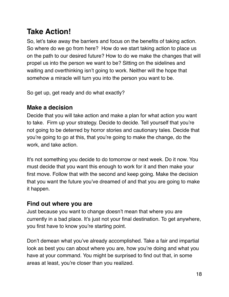# <span id="page-17-0"></span>**Take Action!**

So, let's take away the barriers and focus on the benefits of taking action. So where do we go from here? How do we start taking action to place us on the path to our desired future? How to do we make the changes that will propel us into the person we want to be? Sitting on the sidelines and waiting and overthinking isn't going to work. Neither will the hope that somehow a miracle will turn you into the person you want to be.

So get up, get ready and do what exactly?

### <span id="page-17-1"></span>**Make a decision**

Decide that you will take action and make a plan for what action you want to take. Firm up your strategy. Decide to decide. Tell yourself that you're not going to be deterred by horror stories and cautionary tales. Decide that you're going to go at this, that you're going to make the change, do the work, and take action.

It's not something you decide to do tomorrow or next week. Do it now. You must decide that you want this enough to work for it and then make your first move. Follow that with the second and keep going. Make the decision that you want the future you've dreamed of and that you are going to make it happen.

### <span id="page-17-2"></span>**Find out where you are**

Just because you want to change doesn't mean that where you are currently in a bad place. It's just not your final destination. To get anywhere, you first have to know you're starting point.

Don't demean what you've already accomplished. Take a fair and impartial look as best you can about where you are, how you're doing and what you have at your command. You might be surprised to find out that, in some areas at least, you're closer than you realized.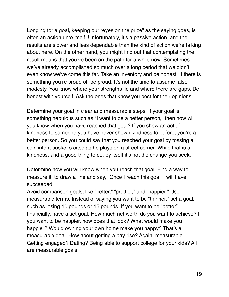Longing for a goal, keeping our "eyes on the prize" as the saying goes, is often an action unto itself. Unfortunately, it's a passive action, and the results are slower and less dependable than the kind of action we're talking about here. On the other hand, you might find out that contemplating the result means that you've been on the path for a while now. Sometimes we've already accomplished so much over a long period that we didn't even know we've come this far. Take an inventory and be honest. If there is something you're proud of, be proud. It's not the time to assume false modesty. You know where your strengths lie and where there are gaps. Be honest with yourself. Ask the ones that know you best for their opinions.

Determine your goal in clear and measurable steps. If your goal is something nebulous such as "I want to be a better person," then how will you know when you have reached that goal? If you show an act of kindness to someone you have never shown kindness to before, you're a better person. So you could say that you reached your goal by tossing a coin into a busker's case as he plays on a street corner. While that is a kindness, and a good thing to do, by itself it's not the change you seek.

Determine how you will know when you reach that goal. Find a way to measure it, to draw a line and say, "Once I reach this goal, I will have succeeded."

Avoid comparison goals, like "better," "prettier," and "happier." Use measurable terms. Instead of saying you want to be "thinner," set a goal, such as losing 10 pounds or 15 pounds. If you want to be "better" financially, have a set goal. How much net worth do you want to achieve? If you want to be happier, how does that look? What would make you happier? Would owning your own home make you happy? That's a measurable goal. How about getting a pay rise? Again, measurable. Getting engaged? Dating? Being able to support college for your kids? All are measurable goals.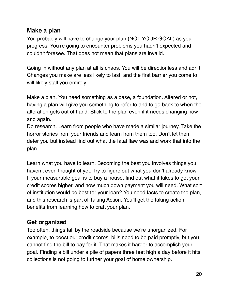#### <span id="page-19-0"></span>**Make a plan**

You probably will have to change your plan (NOT YOUR GOAL) as you progress. You're going to encounter problems you hadn't expected and couldn't foresee. That does not mean that plans are invalid.

Going in without any plan at all is chaos. You will be directionless and adrift. Changes you make are less likely to last, and the first barrier you come to will likely stall you entirely.

Make a plan. You need something as a base, a foundation. Altered or not, having a plan will give you something to refer to and to go back to when the alteration gets out of hand. Stick to the plan even if it needs changing now and again.

Do research. Learn from people who have made a similar journey. Take the horror stories from your friends and learn from them too. Don't let them deter you but instead find out what the fatal flaw was and work that into the plan.

Learn what you have to learn. Becoming the best you involves things you haven't even thought of yet. Try to figure out what you don't already know. If your measurable goal is to buy a house, find out what it takes to get your credit scores higher, and how much down payment you will need. What sort of institution would be best for your loan? You need facts to create the plan, and this research is part of Taking Action. You'll get the taking action benefits from learning how to craft your plan.

### <span id="page-19-1"></span>**Get organized**

Too often, things fall by the roadside because we're unorganized. For example, to boost our credit scores, bills need to be paid promptly, but you cannot find the bill to pay for it. That makes it harder to accomplish your goal. Finding a bill under a pile of papers three feet high a day before it hits collections is not going to further your goal of home ownership.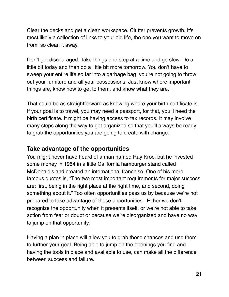Clear the decks and get a clean workspace. Clutter prevents growth. It's most likely a collection of links to your old life, the one you want to move on from, so clean it away.

Don't get discouraged. Take things one step at a time and go slow. Do a little bit today and then do a little bit more tomorrow. You don't have to sweep your entire life so far into a garbage bag; you're not going to throw out your furniture and all your possessions. Just know where important things are, know how to get to them, and know what they are.

That could be as straightforward as knowing where your birth certificate is. If your goal is to travel, you may need a passport, for that, you'll need the birth certificate. It might be having access to tax records. It may involve many steps along the way to get organized so that you'll always be ready to grab the opportunities you are going to create with change.

#### <span id="page-20-0"></span>**Take advantage of the opportunities**

You might never have heard of a man named Ray Kroc, but he invested some money in 1954 in a little California hamburger stand called McDonald's and created an international franchise. One of his more famous quotes is, "The two most important requirements for major success are: first, being in the right place at the right time, and second, doing something about it." Too often opportunities pass us by because we're not prepared to take advantage of those opportunities. Either we don't recognize the opportunity when it presents itself, or we're not able to take action from fear or doubt or because we're disorganized and have no way to jump on that opportunity.

Having a plan in place will allow you to grab these chances and use them to further your goal. Being able to jump on the openings you find and having the tools in place and available to use, can make all the difference between success and failure.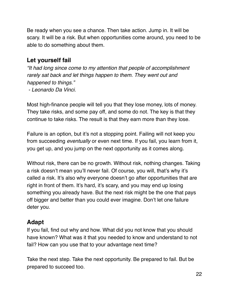Be ready when you see a chance. Then take action. Jump in. It will be scary. It will be a risk. But when opportunities come around, you need to be able to do something about them.

### <span id="page-21-0"></span>**Let yourself fail**

*"It had long since come to my attention that people of accomplishment rarely sat back and let things happen to them. They went out and happened to things." - Leonardo Da Vinci.* 

Most high-finance people will tell you that they lose money, lots of money. They take risks, and some pay off, and some do not. The key is that they continue to take risks. The result is that they earn more than they lose.

Failure is an option, but it's not a stopping point. Failing will not keep you from succeeding *eventually* or even next time. If you fail, you learn from it, you get up, and you jump on the next opportunity as it comes along.

Without risk, there can be no growth. Without risk, nothing changes. Taking a risk doesn't mean you'll never fail. Of course, you will, that's why it's called a risk. It's also why everyone doesn't go after opportunities that are right in front of them. It's hard, it's scary, and you may end up losing something you already have. But the next risk might be the one that pays off bigger and better than you could ever imagine. Don't let one failure deter you.

### <span id="page-21-1"></span>**Adapt**

If you fail, find out why and how. What did you not know that you should have known? What was it that you needed to know and understand to not fail? How can you use that to your advantage next time?

Take the next step. Take the next opportunity. Be prepared to fail. But be prepared to succeed too.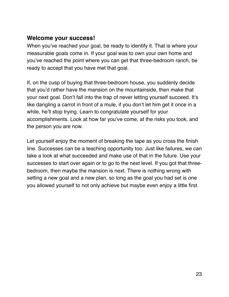#### <span id="page-22-0"></span>**Welcome your success!**

When you've reached your goal, be ready to identify it. That is where your measurable goals come in. If your goal was to own your own home and you've reached the point where you can get that three-bedroom ranch, be ready to accept that you have met that goal.

If, on the cusp of buying that three-bedroom house, you suddenly decide that you'd rather have the mansion on the mountainside, then make that your next goal. Don't fall into the trap of never letting yourself succeed. It's like dangling a carrot in front of a mule, if you don't let him get it once in a while, he'll stop trying. Learn to congratulate yourself for your accomplishments. Look at how far you've come, at the risks you took, and the person you are now.

Let yourself enjoy the moment of breaking the tape as you cross the finish line. Successes can be a teaching opportunity too. Just like failures, we can take a look at what succeeded and make use of that in the future. Use your successes to start over again or to go to the next level. If you got that threebedroom, then maybe the mansion is next. There is nothing wrong with setting a new goal and a new plan, so long as the goal you had set is one you allowed yourself to not only achieve but maybe even enjoy a little first.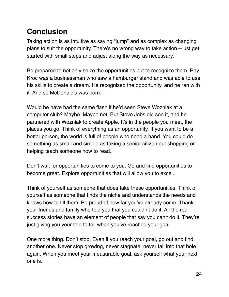# <span id="page-23-0"></span>**Conclusion**

Taking action is as intuitive as saying "jump" and as complex as changing plans to suit the opportunity. There's no wrong way to take action—just get started with small steps and adjust along the way as necessary.

Be prepared to not only seize the opportunities but to recognize them. Ray Kroc was a businessman who saw a hamburger stand and was able to use his skills to create a dream. He recognized the opportunity, and he ran with it. And so McDonald's was born.

Would he have had the same flash if he'd seen Steve Wozniak at a computer club? Maybe. Maybe not. But Steve Jobs did see it, and he partnered with Wozniak to create Apple. It's in the people you meet, the places you go. Think of everything as an opportunity. If you want to be a better person, the world is full of people who need a hand. You could do something as small and simple as taking a senior citizen out shopping or helping teach someone how to read.

Don't wait for opportunities to come to you. Go and find opportunities to become great. Explore opportunities that will allow you to excel.

Think of yourself as someone that does take these opportunities. Think of yourself as someone that finds the niche and understands the needs and knows how to fill them. Be proud of how far you've already come. Thank your friends and family who told you that you couldn't do it. All the real success stories have an element of people that say you can't do it. They're just giving you your tale to tell when you've reached your goal.

One more thing. Don't stop. Even if you reach your goal, go out and find another one. Never stop growing, never stagnate, never fall into that hole again. When you meet your measurable goal, ask yourself what your next one is.